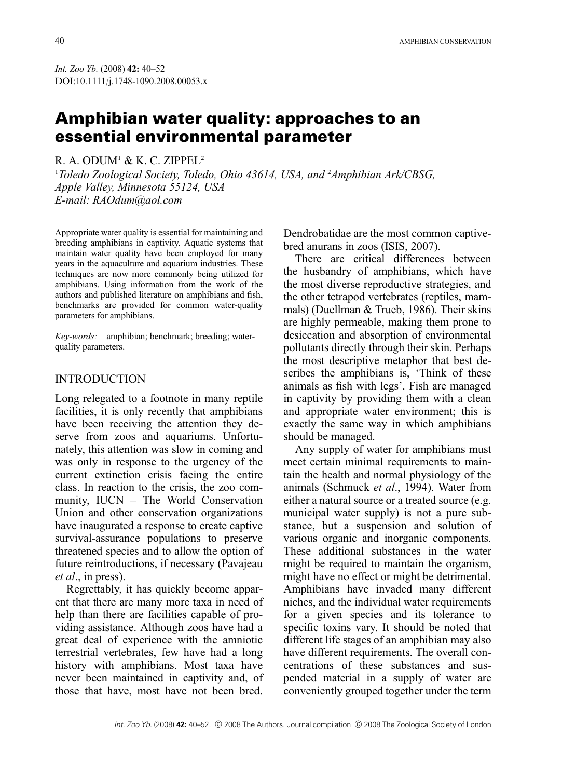Int. Zoo Yb. (2008) 42: 40–52 DOI:10.1111/j.1748-1090.2008.00053.x

# Amphibian water quality: approaches to an essential environmental parameter

## R. A. ODUM<sup>1</sup> & K. C. ZIPPEL<sup>2</sup>

<sup>1</sup>Toledo Zoological Society, Toledo, Ohio 43614, USA, and <sup>2</sup>Amphibian Ark/CBSG, Apple Valley, Minnesota 55124, USA E-mail: RAOdum@aol.com

Appropriate water quality is essential for maintaining and breeding amphibians in captivity. Aquatic systems that maintain water quality have been employed for many years in the aquaculture and aquarium industries. These techniques are now more commonly being utilized for amphibians. Using information from the work of the authors and published literature on amphibians and fish, benchmarks are provided for common water-quality parameters for amphibians.

Key-words: amphibian; benchmark; breeding; waterquality parameters.

### INTRODUCTION

Long relegated to a footnote in many reptile facilities, it is only recently that amphibians have been receiving the attention they deserve from zoos and aquariums. Unfortunately, this attention was slow in coming and was only in response to the urgency of the current extinction crisis facing the entire class. In reaction to the crisis, the zoo community, IUCN – The World Conservation Union and other conservation organizations have inaugurated a response to create captive survival-assurance populations to preserve threatened species and to allow the option of future reintroductions, if necessary (Pavajeau et al., in press).

Regrettably, it has quickly become apparent that there are many more taxa in need of help than there are facilities capable of providing assistance. Although zoos have had a great deal of experience with the amniotic terrestrial vertebrates, few have had a long history with amphibians. Most taxa have never been maintained in captivity and, of those that have, most have not been bred.

Dendrobatidae are the most common captivebred anurans in zoos (ISIS, 2007).

There are critical differences between the husbandry of amphibians, which have the most diverse reproductive strategies, and the other tetrapod vertebrates (reptiles, mammals) (Duellman & Trueb, 1986). Their skins are highly permeable, making them prone to desiccation and absorption of environmental pollutants directly through their skin. Perhaps the most descriptive metaphor that best describes the amphibians is, 'Think of these animals as fish with legs'. Fish are managed in captivity by providing them with a clean and appropriate water environment; this is exactly the same way in which amphibians should be managed.

Any supply of water for amphibians must meet certain minimal requirements to maintain the health and normal physiology of the animals (Schmuck et al., 1994). Water from either a natural source or a treated source (e.g. municipal water supply) is not a pure substance, but a suspension and solution of various organic and inorganic components. These additional substances in the water might be required to maintain the organism, might have no effect or might be detrimental. Amphibians have invaded many different niches, and the individual water requirements for a given species and its tolerance to specific toxins vary. It should be noted that different life stages of an amphibian may also have different requirements. The overall concentrations of these substances and suspended material in a supply of water are conveniently grouped together under the term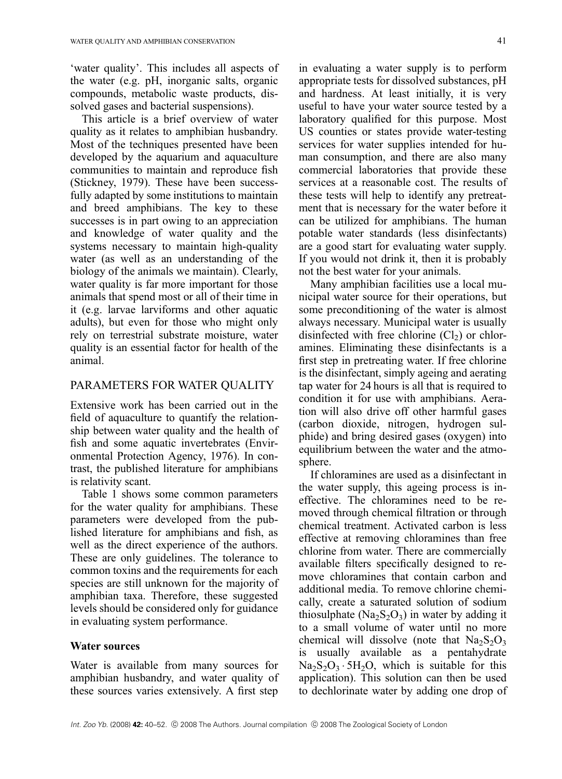'water quality'. This includes all aspects of the water (e.g. pH, inorganic salts, organic compounds, metabolic waste products, dissolved gases and bacterial suspensions).

This article is a brief overview of water quality as it relates to amphibian husbandry. Most of the techniques presented have been developed by the aquarium and aquaculture communities to maintain and reproduce fish (Stickney, 1979). These have been successfully adapted by some institutions to maintain and breed amphibians. The key to these successes is in part owing to an appreciation and knowledge of water quality and the systems necessary to maintain high-quality water (as well as an understanding of the biology of the animals we maintain). Clearly, water quality is far more important for those animals that spend most or all of their time in it (e.g. larvae larviforms and other aquatic adults), but even for those who might only rely on terrestrial substrate moisture, water quality is an essential factor for health of the animal.

### PARAMETERS FOR WATER QUALITY

Extensive work has been carried out in the field of aquaculture to quantify the relationship between water quality and the health of fish and some aquatic invertebrates (Environmental Protection Agency, 1976). In contrast, the published literature for amphibians is relativity scant.

Table 1 shows some common parameters for the water quality for amphibians. These parameters were developed from the published literature for amphibians and fish, as well as the direct experience of the authors. These are only guidelines. The tolerance to common toxins and the requirements for each species are still unknown for the majority of amphibian taxa. Therefore, these suggested levels should be considered only for guidance in evaluating system performance.

#### Water sources

Water is available from many sources for amphibian husbandry, and water quality of these sources varies extensively. A first step

in evaluating a water supply is to perform appropriate tests for dissolved substances, pH and hardness. At least initially, it is very useful to have your water source tested by a laboratory qualified for this purpose. Most US counties or states provide water-testing services for water supplies intended for human consumption, and there are also many commercial laboratories that provide these services at a reasonable cost. The results of these tests will help to identify any pretreatment that is necessary for the water before it can be utilized for amphibians. The human potable water standards (less disinfectants) are a good start for evaluating water supply. If you would not drink it, then it is probably not the best water for your animals.

Many amphibian facilities use a local municipal water source for their operations, but some preconditioning of the water is almost always necessary. Municipal water is usually disinfected with free chlorine  $(Cl<sub>2</sub>)$  or chloramines. Eliminating these disinfectants is a first step in pretreating water. If free chlorine is the disinfectant, simply ageing and aerating tap water for 24 hours is all that is required to condition it for use with amphibians. Aeration will also drive off other harmful gases (carbon dioxide, nitrogen, hydrogen sulphide) and bring desired gases (oxygen) into equilibrium between the water and the atmosphere.

If chloramines are used as a disinfectant in the water supply, this ageing process is ineffective. The chloramines need to be removed through chemical filtration or through chemical treatment. Activated carbon is less effective at removing chloramines than free chlorine from water. There are commercially available filters specifically designed to remove chloramines that contain carbon and additional media. To remove chlorine chemically, create a saturated solution of sodium thiosulphate  $(Na_2S_2O_3)$  in water by adding it to a small volume of water until no more chemical will dissolve (note that  $Na<sub>2</sub>S<sub>2</sub>O<sub>3</sub>$ ) is usually available as a pentahydrate  $Na<sub>2</sub>S<sub>2</sub>O<sub>3</sub> \cdot 5H<sub>2</sub>O$ , which is suitable for this application). This solution can then be used to dechlorinate water by adding one drop of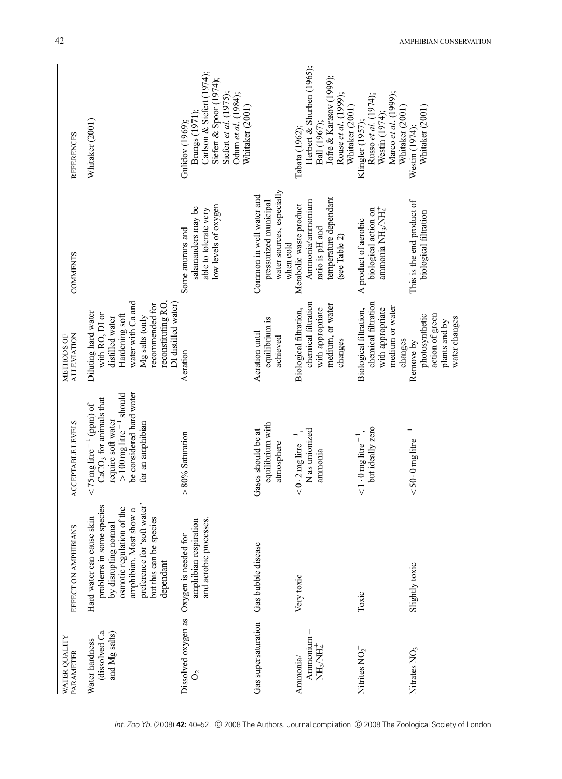| WATER QUALITY<br>PARAMETER                      | ON AMPHIBIANS<br>EFFECT                                                                                                                                                                                     | ACCEPTABLE LEVELS                                                                                                                                                                                  | <b>ALLEVIATION</b><br>METHODS OF                                                                                                                                                  | <b>COMMENTS</b>                                                                                          | <b>REFERENCES</b>                                                                                                                                             |
|-------------------------------------------------|-------------------------------------------------------------------------------------------------------------------------------------------------------------------------------------------------------------|----------------------------------------------------------------------------------------------------------------------------------------------------------------------------------------------------|-----------------------------------------------------------------------------------------------------------------------------------------------------------------------------------|----------------------------------------------------------------------------------------------------------|---------------------------------------------------------------------------------------------------------------------------------------------------------------|
| dissolved Ca<br>and Mg salts)<br>Water hardness | preference for 'soft water'<br>but this can be species<br>problems in some species<br>by disrupting normal<br>osmotic regulation of the<br>amphibian. Most show a<br>Hard water can cause skin<br>dependant | be considered hard water<br>$>$ 100 mg litre $^{-1}$ should<br>CaCO <sub>3</sub> for animals that<br>$<$ 75 mg litre <sup><math>-1</math></sup> (ppm) of<br>require soft water<br>for an amphibian | reconstituting RO,<br>water with Ca and<br>DI distilled water)<br>recommended for<br>Diluting hard water<br>with RO, DI or<br>Hardening soft<br>distilled water<br>Mg salts (only |                                                                                                          | Whitaker (2001)                                                                                                                                               |
| S,                                              | and aerobic processes.<br>amphibian respiration<br>Dissolved oxygen as Oxygen is needed for                                                                                                                 | > 80% Saturation                                                                                                                                                                                   | Aeration                                                                                                                                                                          | low levels of oxygen<br>salamanders may be<br>able to tolerate very<br>Some anurans and                  | Carlson & Siefert (1974);<br>Siefert & Spoor (1974);<br>Siefert et al. (1975);<br>Odum et al. (1984);<br>Whitaker (2001)<br>Brungs (1971);<br>Gulidov (1969): |
| Gas supersaturation                             | Gas bubble disease                                                                                                                                                                                          | equilibrium with<br>Gases should be at<br>atmosphere                                                                                                                                               | equilibrium is<br>Aeration until<br>achieved                                                                                                                                      | water sources, especially<br>Common in well water and<br>pressurized municipal<br>when cold              |                                                                                                                                                               |
| Ammonium-<br>NH3/NH4<br>Ammonia/                | Very toxic                                                                                                                                                                                                  | N as unionized<br>$<$ 0 $\cdot$ 2 mg litre $^{-1}$<br>ammonia                                                                                                                                      | chemical filtration<br>medium, or water<br>with appropriate<br><b>Biological filtration,</b><br>changes                                                                           | temperature dependant<br>Ammonia/ammonium<br>Metabolic waste product<br>ratio is pH and<br>(see Table 2) | Herbert & Shurben (1965);<br>Jofre & Karasov (1999);<br>Rouse et al. (1999);<br>Whitaker (2001)<br>Ball (1967);<br>Tabata (1962);                             |
| Nitrites $NO2$                                  | Toxic                                                                                                                                                                                                       | but ideally zero<br>$< 1.0$ mg litre <sup><math>-1</math></sup>                                                                                                                                    | chemical filtration<br>medium or water<br>with appropriate<br><b>Biological filtration,</b><br>changes                                                                            | ammonia NH <sub>3</sub> /NH <sub>4</sub><br>biological action on<br>A product of aerobic                 | Marco et al. (1999);<br>Russo et al. (1974);<br>Whitaker (2001)<br>Westin (1974);<br>Klingler (1957);                                                         |
| Nitrates NO <sub>3</sub>                        | toxic<br>Slightly                                                                                                                                                                                           | $<$ 50 $\cdot$ 0 mg litre $^{-1}$                                                                                                                                                                  | action of green<br>photosynthetic<br>water changes<br>plants and by<br>Remove by                                                                                                  | This is the end product of<br>biological filtration                                                      | Whitaker (2001)<br>Westin (1974);                                                                                                                             |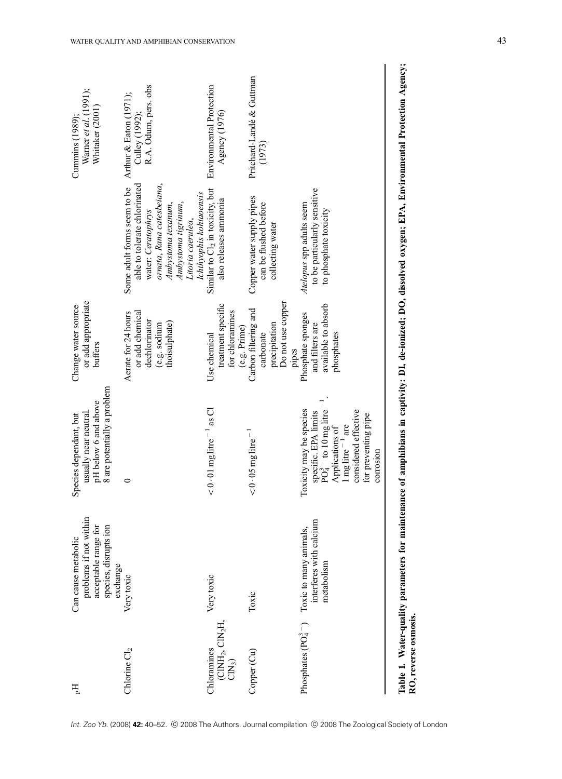| Do not use copper<br>treatment specific<br>available to absorb<br>Carbon filtering and<br>or add chemical<br>for chloramines<br>Aerate for 24 hours<br>Phosphate sponges<br>dechlorinator<br>thoisulphate)<br>precipitation<br>and filters are<br>(e.g. sodium<br>(e.g. Prime)<br>carbonate<br>Use chemical<br>phosphates<br>pipes<br>specific. EPA limits<br>$PO_4^2$ <sup>-</sup> to 10 mg litre <sup>-1</sup><br>$<0.01$ mg litre $^{-1}$ as Cl<br>Toxicity may be species<br>considered effective<br>$1mg$ litre $^{-1}$ are<br>Applications of<br>$<$ 0 $\cdot$ 05 mg litre $^{-1}$<br>Toxic to many animals,<br>interferes with calcium<br>metabolism<br>Very toxic<br>toxic<br>Toxic<br>Very<br>$\text{CINH}_2, \text{CIN}_2 \text{H}, \\ \text{CIN}_3)$<br>Phosphates (PO4 <sup>-</sup> )<br>Chloramines<br>Chlorine $Cl2$<br>Copper (Cu) | problems if not within<br>acceptable range for<br>species, disrupts ion<br>exchange<br>Can cause metabolic | 8 are potentially a problem<br>pH below 6 and above<br>usually near neutral.<br>Species dependant, but | or add appropriate<br>Change water source<br>buffers |                                                                                                                                                                                                                                       | Warner et al. (1991);<br>Whitaker (2001)<br>Cummins (1989); |
|---------------------------------------------------------------------------------------------------------------------------------------------------------------------------------------------------------------------------------------------------------------------------------------------------------------------------------------------------------------------------------------------------------------------------------------------------------------------------------------------------------------------------------------------------------------------------------------------------------------------------------------------------------------------------------------------------------------------------------------------------------------------------------------------------------------------------------------------------|------------------------------------------------------------------------------------------------------------|--------------------------------------------------------------------------------------------------------|------------------------------------------------------|---------------------------------------------------------------------------------------------------------------------------------------------------------------------------------------------------------------------------------------|-------------------------------------------------------------|
|                                                                                                                                                                                                                                                                                                                                                                                                                                                                                                                                                                                                                                                                                                                                                                                                                                                   |                                                                                                            |                                                                                                        |                                                      | Some adult forms seem to be Arthur & Eaton $(1971)$ ;<br>able to tolerate chlorinated<br>ornata, Rana catesbeiana,<br>Ichthyophis kohtaoensis<br>Ambystoma tigrinum,<br>Ambystoma texanum,<br>water: Ceratophrys<br>Litoria caerulea, | Culley (1992);<br>R.A. Odum, pers. obs                      |
|                                                                                                                                                                                                                                                                                                                                                                                                                                                                                                                                                                                                                                                                                                                                                                                                                                                   |                                                                                                            |                                                                                                        |                                                      | Similar to Cl <sub>2</sub> in toxicity, but<br>also releases ammonia                                                                                                                                                                  | Environmental Protection<br>Agency (1976)                   |
|                                                                                                                                                                                                                                                                                                                                                                                                                                                                                                                                                                                                                                                                                                                                                                                                                                                   |                                                                                                            |                                                                                                        |                                                      | Copper water supply pipes<br>can be flushed before<br>collecting water                                                                                                                                                                | Pritchard-Landé & Guttman<br>(1973)                         |
| corrosion                                                                                                                                                                                                                                                                                                                                                                                                                                                                                                                                                                                                                                                                                                                                                                                                                                         |                                                                                                            | for preventing pipe                                                                                    |                                                      | to be particularly sensitive<br>Atelopus spp adults seem<br>to phosphate toxicity                                                                                                                                                     |                                                             |



 $\overline{1}$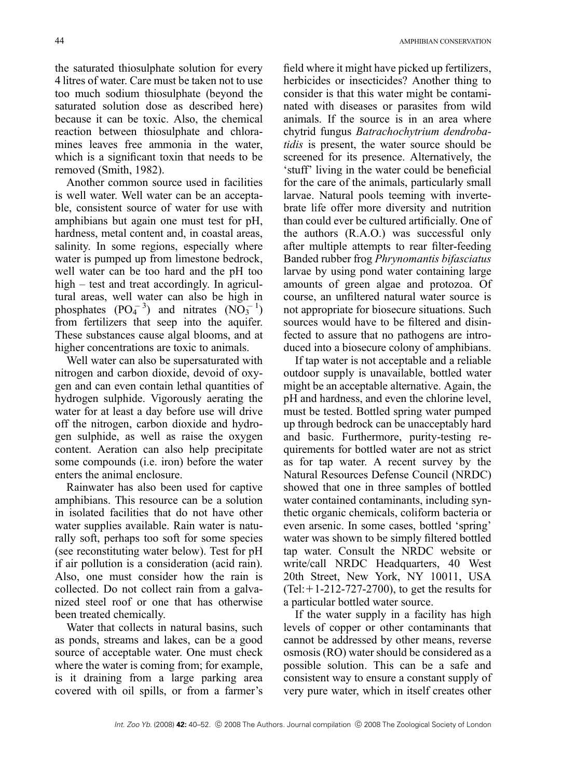the saturated thiosulphate solution for every 4 litres of water. Care must be taken not to use too much sodium thiosulphate (beyond the saturated solution dose as described here) because it can be toxic. Also, the chemical reaction between thiosulphate and chloramines leaves free ammonia in the water, which is a significant toxin that needs to be removed (Smith, 1982).

Another common source used in facilities is well water. Well water can be an acceptable, consistent source of water for use with amphibians but again one must test for pH, hardness, metal content and, in coastal areas, salinity. In some regions, especially where water is pumped up from limestone bedrock, well water can be too hard and the pH too high – test and treat accordingly. In agricultural areas, well water can also be high in phosphates  $(PO_4^{-3})$  and nitrates  $(NO_3^{-1})$ from fertilizers that seep into the aquifer. These substances cause algal blooms, and at higher concentrations are toxic to animals.

Well water can also be supersaturated with nitrogen and carbon dioxide, devoid of oxygen and can even contain lethal quantities of hydrogen sulphide. Vigorously aerating the water for at least a day before use will drive off the nitrogen, carbon dioxide and hydrogen sulphide, as well as raise the oxygen content. Aeration can also help precipitate some compounds (i.e. iron) before the water enters the animal enclosure.

Rainwater has also been used for captive amphibians. This resource can be a solution in isolated facilities that do not have other water supplies available. Rain water is naturally soft, perhaps too soft for some species (see reconstituting water below). Test for pH if air pollution is a consideration (acid rain). Also, one must consider how the rain is collected. Do not collect rain from a galvanized steel roof or one that has otherwise been treated chemically.

Water that collects in natural basins, such as ponds, streams and lakes, can be a good source of acceptable water. One must check where the water is coming from; for example, is it draining from a large parking area covered with oil spills, or from a farmer's

field where it might have picked up fertilizers, herbicides or insecticides? Another thing to consider is that this water might be contaminated with diseases or parasites from wild animals. If the source is in an area where chytrid fungus Batrachochytrium dendrobatidis is present, the water source should be screened for its presence. Alternatively, the 'stuff' living in the water could be beneficial for the care of the animals, particularly small larvae. Natural pools teeming with invertebrate life offer more diversity and nutrition than could ever be cultured artificially. One of the authors (R.A.O.) was successful only after multiple attempts to rear filter-feeding Banded rubber frog Phrynomantis bifasciatus larvae by using pond water containing large amounts of green algae and protozoa. Of course, an unfiltered natural water source is not appropriate for biosecure situations. Such sources would have to be filtered and disinfected to assure that no pathogens are introduced into a biosecure colony of amphibians.

If tap water is not acceptable and a reliable outdoor supply is unavailable, bottled water might be an acceptable alternative. Again, the pH and hardness, and even the chlorine level, must be tested. Bottled spring water pumped up through bedrock can be unacceptably hard and basic. Furthermore, purity-testing requirements for bottled water are not as strict as for tap water. A recent survey by the Natural Resources Defense Council (NRDC) showed that one in three samples of bottled water contained contaminants, including synthetic organic chemicals, coliform bacteria or even arsenic. In some cases, bottled 'spring' water was shown to be simply filtered bottled tap water. Consult the NRDC website or write/call NRDC Headquarters, 40 West 20th Street, New York, NY 10011, USA  $(Tel:1-212-727-2700)$ , to get the results for a particular bottled water source.

If the water supply in a facility has high levels of copper or other contaminants that cannot be addressed by other means, reverse osmosis (RO) water should be considered as a possible solution. This can be a safe and consistent way to ensure a constant supply of very pure water, which in itself creates other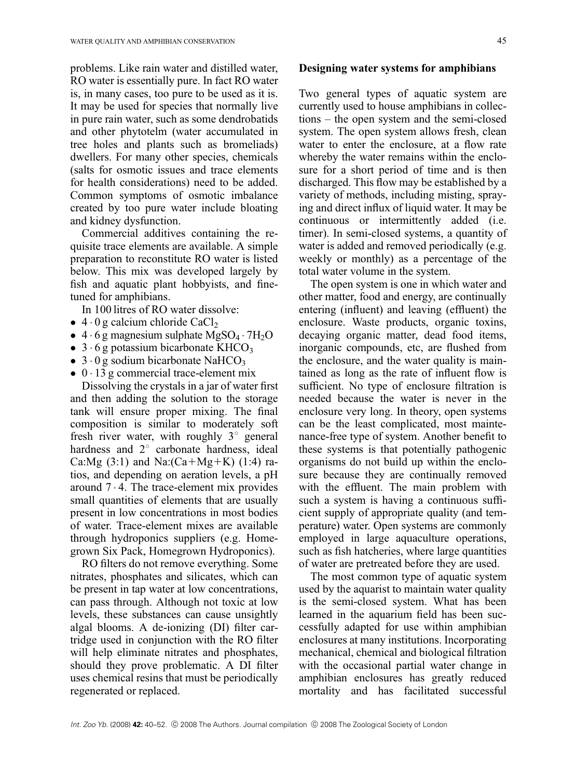problems. Like rain water and distilled water, RO water is essentially pure. In fact RO water is, in many cases, too pure to be used as it is. It may be used for species that normally live in pure rain water, such as some dendrobatids and other phytotelm (water accumulated in tree holes and plants such as bromeliads) dwellers. For many other species, chemicals (salts for osmotic issues and trace elements for health considerations) need to be added. Common symptoms of osmotic imbalance created by too pure water include bloating and kidney dysfunction.

Commercial additives containing the requisite trace elements are available. A simple preparation to reconstitute RO water is listed below. This mix was developed largely by fish and aquatic plant hobbyists, and finetuned for amphibians.

In 100 litres of RO water dissolve:

- $\bullet$  4  $\cdot$  0 g calcium chloride CaCl<sub>2</sub>
- $\bullet$  4  $\cdot$  6 g magnesium sulphate MgSO<sub>4</sub>  $\cdot$  7H<sub>2</sub>O
- $\bullet$  3  $\cdot$  6 g potassium bicarbonate KHCO<sub>3</sub>
- $\bullet$  3  $\cdot$  0 g sodium bicarbonate NaHCO<sub>3</sub>
- $\bullet$  0  $\cdot$  13 g commercial trace-element mix

Dissolving the crystals in a jar of water first and then adding the solution to the storage tank will ensure proper mixing. The final composition is similar to moderately soft fresh river water, with roughly  $3^\circ$  general hardness and  $2^{\circ}$  carbonate hardness, ideal Ca:Mg  $(3:1)$  and Na: $(Ca+Mg+K)$   $(1:4)$  ratios, and depending on aeration levels, a pH around  $7 \cdot 4$ . The trace-element mix provides small quantities of elements that are usually present in low concentrations in most bodies of water. Trace-element mixes are available through hydroponics suppliers (e.g. Homegrown Six Pack, Homegrown Hydroponics).

RO filters do not remove everything. Some nitrates, phosphates and silicates, which can be present in tap water at low concentrations, can pass through. Although not toxic at low levels, these substances can cause unsightly algal blooms. A de-ionizing (DI) filter cartridge used in conjunction with the RO filter will help eliminate nitrates and phosphates, should they prove problematic. A DI filter uses chemical resins that must be periodically regenerated or replaced.

### Designing water systems for amphibians

Two general types of aquatic system are currently used to house amphibians in collections – the open system and the semi-closed system. The open system allows fresh, clean water to enter the enclosure, at a flow rate whereby the water remains within the enclosure for a short period of time and is then discharged. This flow may be established by a variety of methods, including misting, spraying and direct influx of liquid water. It may be continuous or intermittently added (i.e. timer). In semi-closed systems, a quantity of water is added and removed periodically (e.g. weekly or monthly) as a percentage of the total water volume in the system.

The open system is one in which water and other matter, food and energy, are continually entering (influent) and leaving (effluent) the enclosure. Waste products, organic toxins, decaying organic matter, dead food items, inorganic compounds, etc, are flushed from the enclosure, and the water quality is maintained as long as the rate of influent flow is sufficient. No type of enclosure filtration is needed because the water is never in the enclosure very long. In theory, open systems can be the least complicated, most maintenance-free type of system. Another benefit to these systems is that potentially pathogenic organisms do not build up within the enclosure because they are continually removed with the effluent. The main problem with such a system is having a continuous sufficient supply of appropriate quality (and temperature) water. Open systems are commonly employed in large aquaculture operations, such as fish hatcheries, where large quantities of water are pretreated before they are used.

The most common type of aquatic system used by the aquarist to maintain water quality is the semi-closed system. What has been learned in the aquarium field has been successfully adapted for use within amphibian enclosures at many institutions. Incorporating mechanical, chemical and biological filtration with the occasional partial water change in amphibian enclosures has greatly reduced mortality and has facilitated successful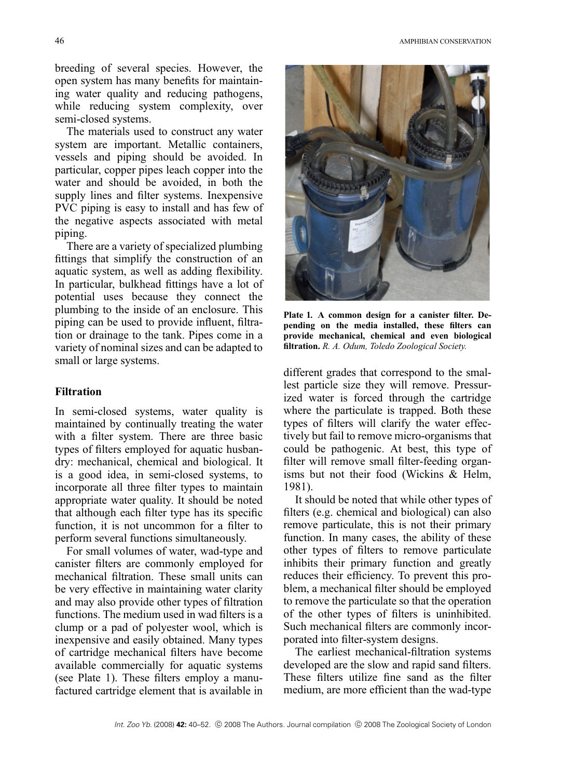breeding of several species. However, the open system has many benefits for maintaining water quality and reducing pathogens, while reducing system complexity, over semi-closed systems.

The materials used to construct any water system are important. Metallic containers, vessels and piping should be avoided. In particular, copper pipes leach copper into the water and should be avoided, in both the supply lines and filter systems. Inexpensive PVC piping is easy to install and has few of the negative aspects associated with metal piping.

There are a variety of specialized plumbing fittings that simplify the construction of an aquatic system, as well as adding flexibility. In particular, bulkhead fittings have a lot of potential uses because they connect the plumbing to the inside of an enclosure. This piping can be used to provide influent, filtration or drainage to the tank. Pipes come in a variety of nominal sizes and can be adapted to small or large systems.

### Filtration

In semi-closed systems, water quality is maintained by continually treating the water with a filter system. There are three basic types of filters employed for aquatic husbandry: mechanical, chemical and biological. It is a good idea, in semi-closed systems, to incorporate all three filter types to maintain appropriate water quality. It should be noted that although each filter type has its specific function, it is not uncommon for a filter to perform several functions simultaneously.

For small volumes of water, wad-type and canister filters are commonly employed for mechanical filtration. These small units can be very effective in maintaining water clarity and may also provide other types of filtration functions. The medium used in wad filters is a clump or a pad of polyester wool, which is inexpensive and easily obtained. Many types of cartridge mechanical filters have become available commercially for aquatic systems (see Plate 1). These filters employ a manufactured cartridge element that is available in



Plate 1. A common design for a canister filter. Depending on the media installed, these filters can provide mechanical, chemical and even biological filtration. R. A. Odum, Toledo Zoological Society.

different grades that correspond to the smallest particle size they will remove. Pressurized water is forced through the cartridge where the particulate is trapped. Both these types of filters will clarify the water effectively but fail to remove micro-organisms that could be pathogenic. At best, this type of filter will remove small filter-feeding organisms but not their food (Wickins & Helm, 1981).

It should be noted that while other types of filters (e.g. chemical and biological) can also remove particulate, this is not their primary function. In many cases, the ability of these other types of filters to remove particulate inhibits their primary function and greatly reduces their efficiency. To prevent this problem, a mechanical filter should be employed to remove the particulate so that the operation of the other types of filters is uninhibited. Such mechanical filters are commonly incorporated into filter-system designs.

The earliest mechanical-filtration systems developed are the slow and rapid sand filters. These filters utilize fine sand as the filter medium, are more efficient than the wad-type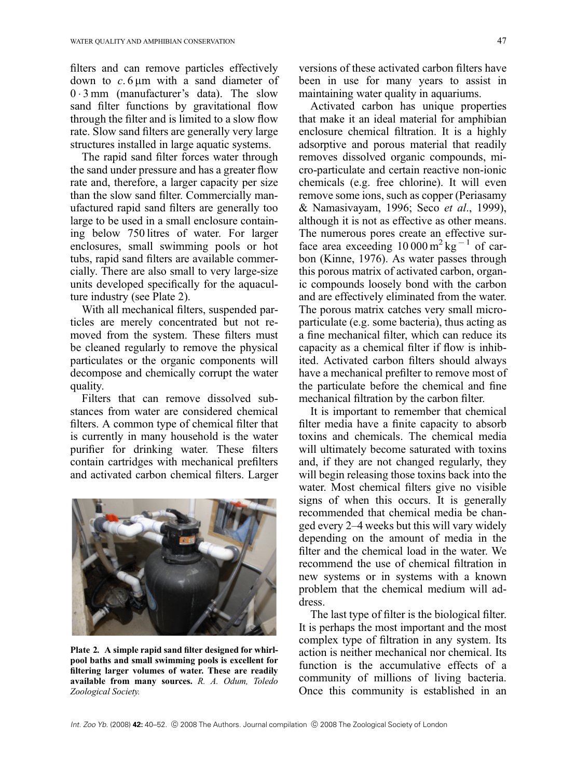filters and can remove particles effectively down to  $c$ . 6  $\mu$ m with a sand diameter of 0 - 3 mm (manufacturer's data). The slow sand filter functions by gravitational flow through the filter and is limited to a slow flow rate. Slow sand filters are generally very large structures installed in large aquatic systems.

The rapid sand filter forces water through the sand under pressure and has a greater flow rate and, therefore, a larger capacity per size than the slow sand filter. Commercially manufactured rapid sand filters are generally too large to be used in a small enclosure containing below 750 litres of water. For larger enclosures, small swimming pools or hot tubs, rapid sand filters are available commercially. There are also small to very large-size units developed specifically for the aquaculture industry (see Plate 2).

With all mechanical filters, suspended particles are merely concentrated but not removed from the system. These filters must be cleaned regularly to remove the physical particulates or the organic components will decompose and chemically corrupt the water quality.

Filters that can remove dissolved substances from water are considered chemical filters. A common type of chemical filter that is currently in many household is the water purifier for drinking water. These filters contain cartridges with mechanical prefilters and activated carbon chemical filters. Larger



Plate 2. A simple rapid sand filter designed for whirlpool baths and small swimming pools is excellent for filtering larger volumes of water. These are readily available from many sources. R. A. Odum, Toledo Zoological Society.

versions of these activated carbon filters have been in use for many years to assist in maintaining water quality in aquariums.

Activated carbon has unique properties that make it an ideal material for amphibian enclosure chemical filtration. It is a highly adsorptive and porous material that readily removes dissolved organic compounds, micro-particulate and certain reactive non-ionic chemicals (e.g. free chlorine). It will even remove some ions, such as copper (Periasamy & Namasivayam, 1996; Seco et al., 1999), although it is not as effective as other means. The numerous pores create an effective surface area exceeding  $10\,000\,\mathrm{m}^2\,\mathrm{kg}^{-1}$  of carbon (Kinne, 1976). As water passes through this porous matrix of activated carbon, organic compounds loosely bond with the carbon and are effectively eliminated from the water. The porous matrix catches very small microparticulate (e.g. some bacteria), thus acting as a fine mechanical filter, which can reduce its capacity as a chemical filter if flow is inhibited. Activated carbon filters should always have a mechanical prefilter to remove most of the particulate before the chemical and fine mechanical filtration by the carbon filter.

It is important to remember that chemical filter media have a finite capacity to absorb toxins and chemicals. The chemical media will ultimately become saturated with toxins and, if they are not changed regularly, they will begin releasing those toxins back into the water. Most chemical filters give no visible signs of when this occurs. It is generally recommended that chemical media be changed every 2–4 weeks but this will vary widely depending on the amount of media in the filter and the chemical load in the water. We recommend the use of chemical filtration in new systems or in systems with a known problem that the chemical medium will address.

The last type of filter is the biological filter. It is perhaps the most important and the most complex type of filtration in any system. Its action is neither mechanical nor chemical. Its function is the accumulative effects of a community of millions of living bacteria. Once this community is established in an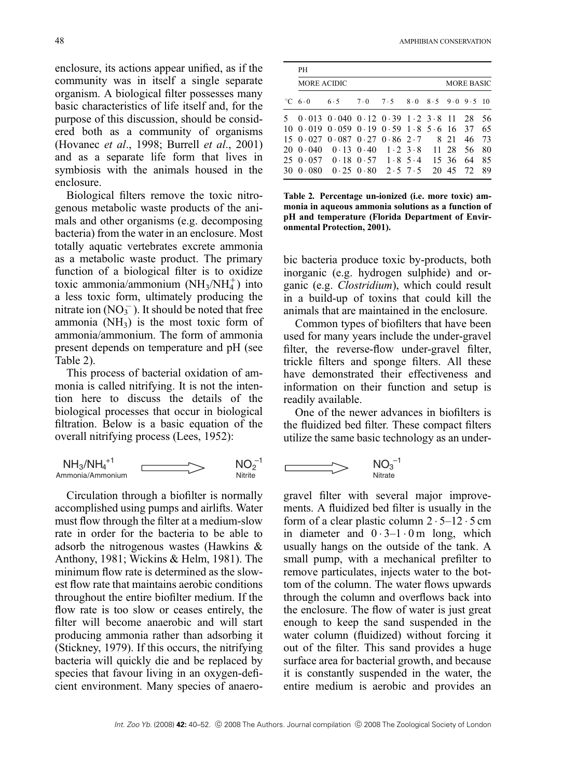enclosure, its actions appear unified, as if the community was in itself a single separate organism. A biological filter possesses many basic characteristics of life itself and, for the purpose of this discussion, should be considered both as a community of organisms (Hovanec et al., 1998; Burrell et al., 2001) and as a separate life form that lives in symbiosis with the animals housed in the enclosure.

Biological filters remove the toxic nitrogenous metabolic waste products of the animals and other organisms (e.g. decomposing bacteria) from the water in an enclosure. Most totally aquatic vertebrates excrete ammonia as a metabolic waste product. The primary function of a biological filter is to oxidize toxic ammonia/ammonium  $(NH_3/NH_4^+)$  into a less toxic form, ultimately producing the nitrate ion  $(NO<sub>3</sub><sup>-</sup>)$ . It should be noted that free ammonia  $(NH_3)$  is the most toxic form of ammonia/ammonium. The form of ammonia present depends on temperature and pH (see Table 2).

This process of bacterial oxidation of ammonia is called nitrifying. It is not the intention here to discuss the details of the biological processes that occur in biological filtration. Below is a basic equation of the overall nitrifying process (Lees, 1952):



Circulation through a biofilter is normally accomplished using pumps and airlifts. Water must flow through the filter at a medium-slow rate in order for the bacteria to be able to adsorb the nitrogenous wastes (Hawkins & Anthony, 1981; Wickins & Helm, 1981). The minimum flow rate is determined as the slowest flow rate that maintains aerobic conditions throughout the entire biofilter medium. If the flow rate is too slow or ceases entirely, the filter will become anaerobic and will start producing ammonia rather than adsorbing it (Stickney, 1979). If this occurs, the nitrifying bacteria will quickly die and be replaced by species that favour living in an oxygen-deficient environment. Many species of anaero-

| <b>AMPHIBIAN CONSERVATION</b><br>10 |
|-------------------------------------|
|                                     |

| PH                 |                                                                                 |                   |  |        |  |                   |    |    |
|--------------------|---------------------------------------------------------------------------------|-------------------|--|--------|--|-------------------|----|----|
| <b>MORE ACIDIC</b> |                                                                                 |                   |  |        |  | <b>MORE BASIC</b> |    |    |
| $\degree$ C 6.0    | 6.5 7.0 7.5 8.0 8.5 9.0 9.5 10                                                  |                   |  |        |  |                   |    |    |
|                    | $5\quad 0.013\quad 0.040\quad 0.12\quad 0.39\quad 1.2\quad 3.8\quad 11\quad 28$ |                   |  |        |  |                   |    | 56 |
|                    | $10\ 0.019\ 0.059\ 0.19\ 0.59\ 1.8\ 5.6\ 16\ 37$                                |                   |  |        |  |                   |    | 65 |
|                    | $15\ 0.027\ 0.087\ 0.27\ 0.86\ 2.7\ 8\ 21$                                      |                   |  |        |  |                   | 46 | 73 |
|                    | 20 0.040 0.13 0.40 1.2 3.8 11 28                                                |                   |  |        |  |                   | 56 | 80 |
|                    | 25 0.057 0.18 0.57 1.8 5.4 15 36                                                |                   |  |        |  |                   | 64 | 85 |
| 30 0.080           |                                                                                 | $0.25 \cdot 0.80$ |  | 2.57.5 |  | 20 45             | 72 | 89 |

Table 2. Percentage un-ionized (i.e. more toxic) ammonia in aqueous ammonia solutions as a function of pH and temperature (Florida Department of Environmental Protection, 2001).

bic bacteria produce toxic by-products, both inorganic (e.g. hydrogen sulphide) and organic (e.g. Clostridium), which could result in a build-up of toxins that could kill the animals that are maintained in the enclosure.

Common types of biofilters that have been used for many years include the under-gravel filter, the reverse-flow under-gravel filter, trickle filters and sponge filters. All these have demonstrated their effectiveness and information on their function and setup is readily available.

One of the newer advances in biofilters is the fluidized bed filter. These compact filters utilize the same basic technology as an under-

$$
\underbrace{\qquad \qquad} \qquad \qquad \text{NO}_3^{-1} \qquad \qquad \text{NLO}_3^{-1}
$$

gravel filter with several major improvements. A fluidized bed filter is usually in the form of a clear plastic column  $2 \cdot 5 - 12 \cdot 5$  cm in diameter and  $0.3-1.0 \text{ m}$  long, which usually hangs on the outside of the tank. A small pump, with a mechanical prefilter to remove particulates, injects water to the bottom of the column. The water flows upwards through the column and overflows back into the enclosure. The flow of water is just great enough to keep the sand suspended in the water column (fluidized) without forcing it out of the filter. This sand provides a huge surface area for bacterial growth, and because it is constantly suspended in the water, the entire medium is aerobic and provides an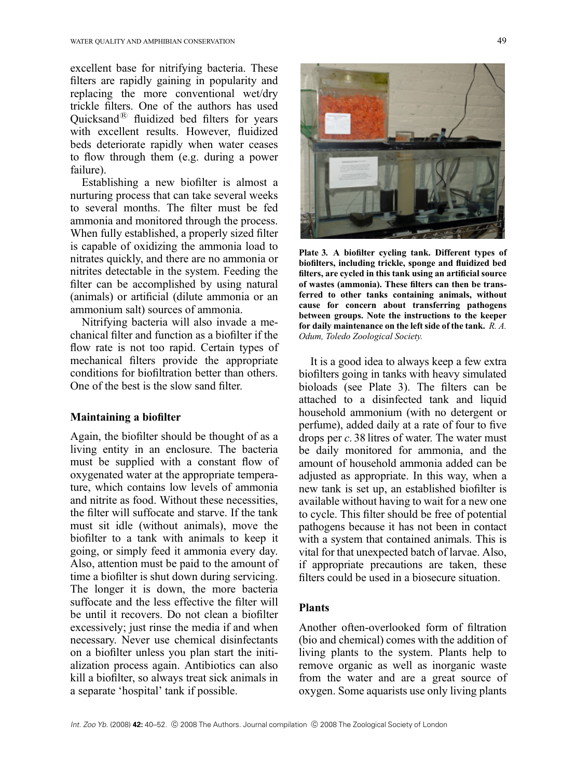excellent base for nitrifying bacteria. These filters are rapidly gaining in popularity and replacing the more conventional wet/dry trickle filters. One of the authors has used Quicksand $\mathbb{B}$  fluidized bed filters for years with excellent results. However, fluidized beds deteriorate rapidly when water ceases to flow through them (e.g. during a power failure).

Establishing a new biofilter is almost a nurturing process that can take several weeks to several months. The filter must be fed ammonia and monitored through the process. When fully established, a properly sized filter is capable of oxidizing the ammonia load to nitrates quickly, and there are no ammonia or nitrites detectable in the system. Feeding the filter can be accomplished by using natural (animals) or artificial (dilute ammonia or an ammonium salt) sources of ammonia.

Nitrifying bacteria will also invade a mechanical filter and function as a biofilter if the flow rate is not too rapid. Certain types of mechanical filters provide the appropriate conditions for biofiltration better than others. One of the best is the slow sand filter.

### Maintaining a biofilter

Again, the biofilter should be thought of as a living entity in an enclosure. The bacteria must be supplied with a constant flow of oxygenated water at the appropriate temperature, which contains low levels of ammonia and nitrite as food. Without these necessities, the filter will suffocate and starve. If the tank must sit idle (without animals), move the biofilter to a tank with animals to keep it going, or simply feed it ammonia every day. Also, attention must be paid to the amount of time a biofilter is shut down during servicing. The longer it is down, the more bacteria suffocate and the less effective the filter will be until it recovers. Do not clean a biofilter excessively; just rinse the media if and when necessary. Never use chemical disinfectants on a biofilter unless you plan start the initialization process again. Antibiotics can also kill a biofilter, so always treat sick animals in a separate 'hospital' tank if possible.



Plate 3. A biofilter cycling tank. Different types of biofilters, including trickle, sponge and fluidized bed filters, are cycled in this tank using an artificial source of wastes (ammonia). These filters can then be transferred to other tanks containing animals, without cause for concern about transferring pathogens between groups. Note the instructions to the keeper for daily maintenance on the left side of the tank. R. A. Odum, Toledo Zoological Society.

It is a good idea to always keep a few extra biofilters going in tanks with heavy simulated bioloads (see Plate 3). The filters can be attached to a disinfected tank and liquid household ammonium (with no detergent or perfume), added daily at a rate of four to five drops per c. 38 litres of water. The water must be daily monitored for ammonia, and the amount of household ammonia added can be adjusted as appropriate. In this way, when a new tank is set up, an established biofilter is available without having to wait for a new one to cycle. This filter should be free of potential pathogens because it has not been in contact with a system that contained animals. This is vital for that unexpected batch of larvae. Also, if appropriate precautions are taken, these filters could be used in a biosecure situation.

### Plants

Another often-overlooked form of filtration (bio and chemical) comes with the addition of living plants to the system. Plants help to remove organic as well as inorganic waste from the water and are a great source of oxygen. Some aquarists use only living plants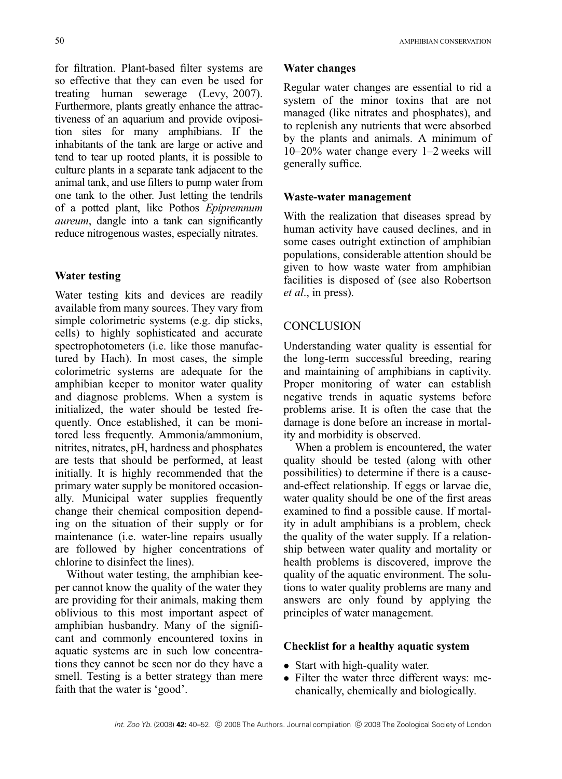for filtration. Plant-based filter systems are so effective that they can even be used for treating human sewerage (Levy, 2007). Furthermore, plants greatly enhance the attractiveness of an aquarium and provide oviposition sites for many amphibians. If the inhabitants of the tank are large or active and tend to tear up rooted plants, it is possible to culture plants in a separate tank adjacent to the animal tank, and use filters to pump water from one tank to the other. Just letting the tendrils of a potted plant, like Pothos Epipremnum aureum, dangle into a tank can significantly reduce nitrogenous wastes, especially nitrates.

### Water testing

Water testing kits and devices are readily available from many sources. They vary from simple colorimetric systems (e.g. dip sticks, cells) to highly sophisticated and accurate spectrophotometers (i.e. like those manufactured by Hach). In most cases, the simple colorimetric systems are adequate for the amphibian keeper to monitor water quality and diagnose problems. When a system is initialized, the water should be tested frequently. Once established, it can be monitored less frequently. Ammonia/ammonium, nitrites, nitrates, pH, hardness and phosphates are tests that should be performed, at least initially. It is highly recommended that the primary water supply be monitored occasionally. Municipal water supplies frequently change their chemical composition depending on the situation of their supply or for maintenance (i.e. water-line repairs usually are followed by higher concentrations of chlorine to disinfect the lines).

Without water testing, the amphibian keeper cannot know the quality of the water they are providing for their animals, making them oblivious to this most important aspect of amphibian husbandry. Many of the significant and commonly encountered toxins in aquatic systems are in such low concentrations they cannot be seen nor do they have a smell. Testing is a better strategy than mere faith that the water is 'good'.

### Water changes

Regular water changes are essential to rid a system of the minor toxins that are not managed (like nitrates and phosphates), and to replenish any nutrients that were absorbed by the plants and animals. A minimum of 10–20% water change every 1–2 weeks will generally suffice.

#### Waste-water management

With the realization that diseases spread by human activity have caused declines, and in some cases outright extinction of amphibian populations, considerable attention should be given to how waste water from amphibian facilities is disposed of (see also Robertson et al., in press).

### **CONCLUSION**

Understanding water quality is essential for the long-term successful breeding, rearing and maintaining of amphibians in captivity. Proper monitoring of water can establish negative trends in aquatic systems before problems arise. It is often the case that the damage is done before an increase in mortality and morbidity is observed.

When a problem is encountered, the water quality should be tested (along with other possibilities) to determine if there is a causeand-effect relationship. If eggs or larvae die, water quality should be one of the first areas examined to find a possible cause. If mortality in adult amphibians is a problem, check the quality of the water supply. If a relationship between water quality and mortality or health problems is discovered, improve the quality of the aquatic environment. The solutions to water quality problems are many and answers are only found by applying the principles of water management.

#### Checklist for a healthy aquatic system

- Start with high-quality water.
- Filter the water three different ways: mechanically, chemically and biologically.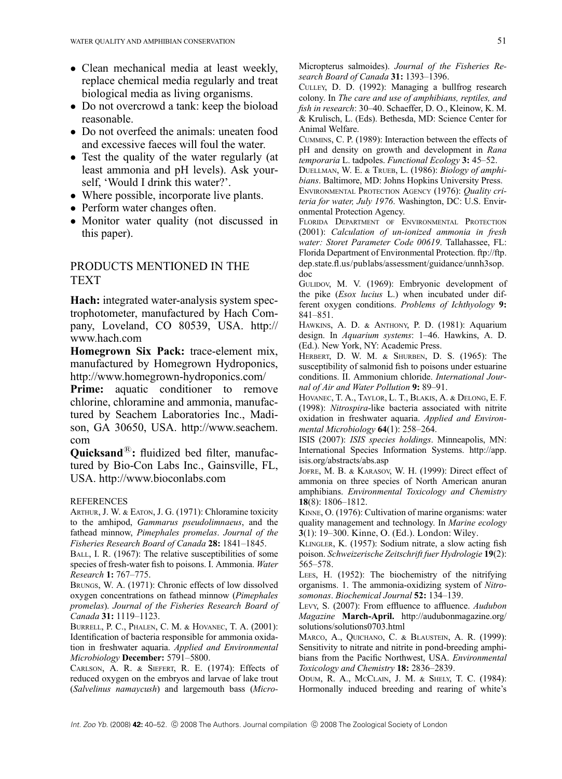- Clean mechanical media at least weekly, replace chemical media regularly and treat biological media as living organisms.
- Do not overcrowd a tank: keep the bioload reasonable.
- Do not overfeed the animals: uneaten food and excessive faeces will foul the water.
- Test the quality of the water regularly (at least ammonia and pH levels). Ask yourself, 'Would I drink this water?'.
- Where possible, incorporate live plants.
- Perform water changes often.
- Monitor water quality (not discussed in this paper).

### PRODUCTS MENTIONED IN THE TEXT

Hach: integrated water-analysis system spectrophotometer, manufactured by Hach Company, Loveland, CO 80539, USA. http:// www.hach.com

Homegrown Six Pack: trace-element mix, manufactured by Homegrown Hydroponics, http://www.homegrown-hydroponics.com/

Prime: aquatic conditioner to remove chlorine, chloramine and ammonia, manufactured by Seachem Laboratories Inc., Madison, GA 30650, USA. http://www.seachem. com

Quicksand<sup>®</sup>: fluidized bed filter, manufactured by Bio-Con Labs Inc., Gainsville, FL, USA. http://www.bioconlabs.com

#### **REFERENCES**

ARTHUR, J. W. & EATON, J. G. (1971): Chloramine toxicity to the amhipod, Gammarus pseudolimnaeus, and the fathead minnow, Pimephales promelas. Journal of the Fisheries Research Board of Canada 28: 1841–1845.

BALL, I. R. (1967): The relative susceptibilities of some species of fresh-water fish to poisons. I. Ammonia. Water Research 1: 767–775.

BRUNGS, W. A. (1971): Chronic effects of low dissolved oxygen concentrations on fathead minnow (Pimephales promelas). Journal of the Fisheries Research Board of Canada 31: 1119–1123.

BURRELL, P. C., PHALEN, C. M. & HOVANEC, T. A. (2001): Identification of bacteria responsible for ammonia oxidation in freshwater aquaria. Applied and Environmental Microbiology December: 5791–5800.

CARLSON, A. R. & SIEFERT, R. E. (1974): Effects of reduced oxygen on the embryos and larvae of lake trout (Salvelinus namaycush) and largemouth bass (MicroMicropterus salmoides). Journal of the Fisheries Research Board of Canada 31: 1393–1396.

CULLEY, D. D. (1992): Managing a bullfrog research colony. In The care and use of amphibians, reptiles, and fish in research: 30–40. Schaeffer, D. O., Kleinow, K. M. & Krulisch, L. (Eds). Bethesda, MD: Science Center for Animal Welfare.

CUMMINS, C. P. (1989): Interaction between the effects of pH and density on growth and development in Rana temporaria L. tadpoles. Functional Ecology 3: 45-52.

DUELLMAN, W. E. & TRUEB, L. (1986): Biology of amphibians. Baltimore, MD: Johns Hopkins University Press.

ENVIRONMENTAL PROTECTION AGENCY (1976): Quality criteria for water, July 1976. Washington, DC: U.S. Environmental Protection Agency.

FLORIDA DEPARTMENT OF ENVIRONMENTAL PROTECTION (2001): Calculation of un-ionized ammonia in fresh water: Storet Parameter Code 00619. Tallahassee, FL: Florida Department of Environmental Protection. ftp://ftp. dep.state.fl.us/publabs/assessment/guidance/unnh3sop. doc

GULIDOV, M. V. (1969): Embryonic development of the pike (Esox lucius L.) when incubated under different oxygen conditions. Problems of Ichthyology 9: 841–851.

HAWKINS, A. D. & ANTHONY, P. D. (1981): Aquarium design. In Aquarium systems: 1–46. Hawkins, A. D. (Ed.). New York, NY: Academic Press.

HERBERT, D. W. M. & SHURBEN, D. S. (1965): The susceptibility of salmonid fish to poisons under estuarine conditions. II. Ammonium chloride. International Journal of Air and Water Pollution 9: 89–91.

HOVANEC, T. A., TAYLOR, L. T., BLAKIS, A. & DELONG, E. F. (1998): Nitrospira-like bacteria associated with nitrite oxidation in freshwater aquaria. Applied and Environmental Microbiology 64(1): 258–264.

ISIS (2007): ISIS species holdings. Minneapolis, MN: International Species Information Systems. http://app. isis.org/abstracts/abs.asp

JOFRE, M. B. & KARASOV, W. H. (1999): Direct effect of ammonia on three species of North American anuran amphibians. Environmental Toxicology and Chemistry 18(8): 1806–1812.

KINNE, O. (1976): Cultivation of marine organisms: water quality management and technology. In Marine ecology 3(1): 19–300. Kinne, O. (Ed.). London: Wiley.

KLINGLER, K. (1957): Sodium nitrate, a slow acting fish poison. Schweizerische Zeitschrift fuer Hydrologie 19(2): 565–578.

LEES, H. (1952): The biochemistry of the nitrifying organisms. 1. The ammonia-oxidizing system of Nitrosomonas. Biochemical Journal 52: 134–139.

LEVY, S. (2007): From effluence to affluence. Audubon Magazine March-April. http://audubonmagazine.org/ solutions/solutions0703.html

MARCO, A., QUICHANO, C. & BLAUSTEIN, A. R. (1999): Sensitivity to nitrate and nitrite in pond-breeding amphibians from the Pacific Northwest, USA. Environmental Toxicology and Chemistry 18: 2836–2839.

ODUM, R. A., MCCLAIN, J. M. & SHELY, T. C. (1984): Hormonally induced breeding and rearing of white's